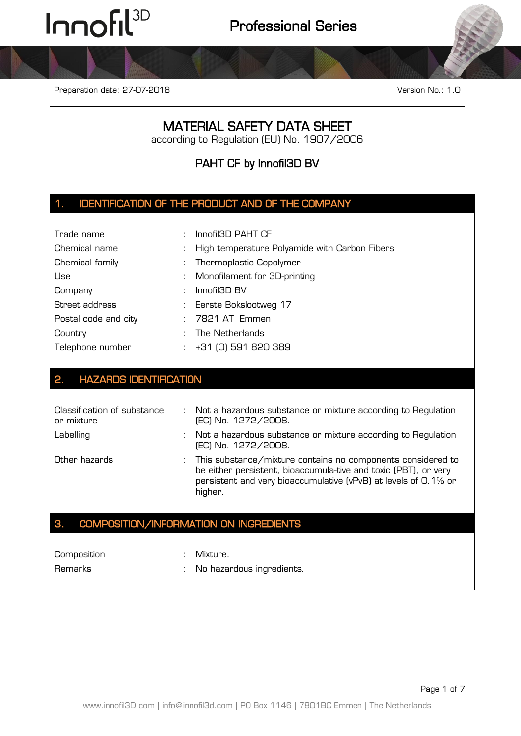Preparation date: 27-07-2018 Version No.: 1.0

### MATERIAL SAFETY DATA SHEET

according to Regulation (EU) No. 1907/2006

PAHT CF by Innofil3D BV

### 1. IDENTIFICATION OF THE PRODUCT AND OF THE COMPANY

| Trade name           | : Innofil3D PAHT CF |                                                 |
|----------------------|---------------------|-------------------------------------------------|
| Chemical name        |                     | : High temperature Polyamide with Carbon Fibers |
| Chemical family      |                     | : Thermoplastic Copolymer                       |
| Use                  |                     | : Monofilament for 3D-printing                  |
| Company              |                     | $:$ Innofil3D BV                                |
| Street address       |                     | : Eerste Bokslootweg 17                         |
| Postal code and city |                     | : 7821 AT Emmen                                 |
| Country              |                     | : The Netherlands                               |
| Telephone number     |                     | $: +31$ (0) 591 820 389                         |

#### 2. HAZARDS IDENTIFICATION

| Classification of substance<br>or mixture | $\mathbb{Z}^{\mathbb{Z}}$ | Not a hazardous substance or mixture according to Regulation<br>(EC) No. 1272/2008.                                                                                                                          |
|-------------------------------------------|---------------------------|--------------------------------------------------------------------------------------------------------------------------------------------------------------------------------------------------------------|
| Labelling                                 |                           | Not a hazardous substance or mixture according to Regulation<br>(EC) No. 1272/2008.                                                                                                                          |
| Other hazards                             |                           | This substance/mixture contains no components considered to<br>be either persistent, bioaccumula-tive and toxic (PBT), or very<br>persistent and very bioaccumulative (vPvB) at levels of O.1% or<br>higher. |

## 3. COMPOSITION/INFORMATION ON INGREDIENTS

Composition : Mixture.

- 
- Remarks : No hazardous ingredients.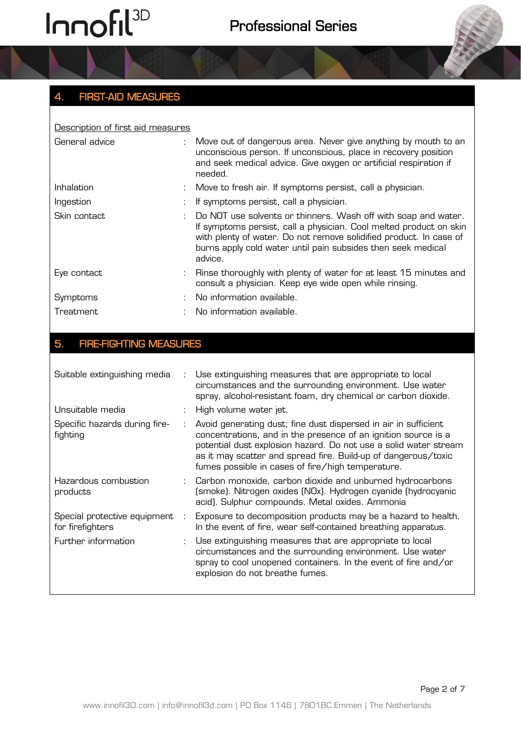

| Description of first aid measures |  |                                                                                                                                                                                                                                                                                       |  |  |  |
|-----------------------------------|--|---------------------------------------------------------------------------------------------------------------------------------------------------------------------------------------------------------------------------------------------------------------------------------------|--|--|--|
| General advice                    |  | : Move out of dangerous area. Never give anything by mouth to an<br>unconscious person. If unconscious, place in recovery position<br>and seek medical advice. Give oxygen or artificial respiration if<br>needed.                                                                    |  |  |  |
| Inhalation                        |  | Move to fresh air. If symptoms persist, call a physician.                                                                                                                                                                                                                             |  |  |  |
| Ingestion                         |  | If symptoms persist, call a physician.                                                                                                                                                                                                                                                |  |  |  |
| Skin contact                      |  | Do NOT use solvents or thinners. Wash off with soap and water.<br>If symptoms persist, call a physician. Cool melted product on skin<br>with plenty of water. Do not remove solidified product. In case of<br>burns apply cold water until pain subsides then seek medical<br>advice. |  |  |  |
| Eye contact                       |  | Rinse thoroughly with plenty of water for at least 15 minutes and<br>consult a physician. Keep eye wide open while rinsing.                                                                                                                                                           |  |  |  |
| Symptoms                          |  | No information available.                                                                                                                                                                                                                                                             |  |  |  |
| Treatment                         |  | No information available.                                                                                                                                                                                                                                                             |  |  |  |

### 5. FIRE-FIGHTING MEASURES

| Suitable extinguishing media                     |   | Use extinguishing measures that are appropriate to local<br>circumstances and the surrounding environment. Use water<br>spray, alcohol-resistant foam, dry chemical or carbon dioxide.                                                                                                                                       |
|--------------------------------------------------|---|------------------------------------------------------------------------------------------------------------------------------------------------------------------------------------------------------------------------------------------------------------------------------------------------------------------------------|
| Unsuitable media                                 |   | High volume water jet.                                                                                                                                                                                                                                                                                                       |
| Specific hazards during fire-<br>fighting        |   | Avoid generating dust; fine dust dispersed in air in sufficient<br>concentrations, and in the presence of an ignition source is a<br>potential dust explosion hazard. Do not use a solid water stream<br>as it may scatter and spread fire. Build-up of dangerous/toxic<br>fumes possible in cases of fire/high temperature. |
| Hazardous combustion<br>products                 |   | : Carbon monoxide, carbon dioxide and unburned hydrocarbons<br>(smoke). Nitrogen oxides (NOx). Hydrogen cyanide (hydrocyanic<br>acid). Sulphur compounds. Metal oxides. Ammonia                                                                                                                                              |
| Special protective equipment<br>for firefighters | ÷ | Exposure to decomposition products may be a hazard to health.<br>In the event of fire, wear self-contained breathing apparatus.                                                                                                                                                                                              |
| Further information                              |   | Use extinguishing measures that are appropriate to local<br>circumstances and the surrounding environment. Use water<br>spray to cool unopened containers. In the event of fire and/or<br>explosion do not breathe fumes.                                                                                                    |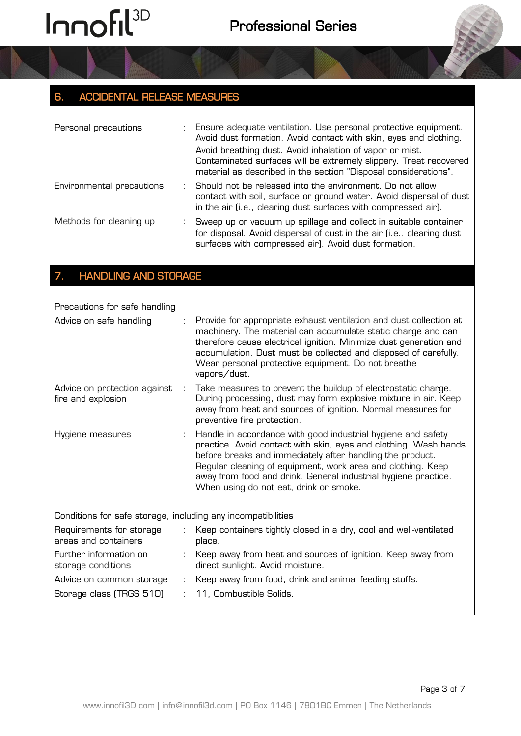### 6. ACCIDENTAL RELEASE MEASURES

| Personal precautions      | : Ensure adequate ventilation. Use personal protective equipment.<br>Avoid dust formation. Avoid contact with skin, eyes and clothing.<br>Avoid breathing dust. Avoid inhalation of vapor or mist.<br>Contaminated surfaces will be extremely slippery. Treat recovered<br>material as described in the section "Disposal considerations". |
|---------------------------|--------------------------------------------------------------------------------------------------------------------------------------------------------------------------------------------------------------------------------------------------------------------------------------------------------------------------------------------|
| Environmental precautions | Should not be released into the environment. Do not allow<br>contact with soil, surface or ground water. Avoid dispersal of dust<br>in the air (i.e., clearing dust surfaces with compressed air).                                                                                                                                         |
| Methods for cleaning up   | : Sweep up or vacuum up spillage and collect in suitable container<br>for disposal. Avoid dispersal of dust in the air (i.e., clearing dust<br>surfaces with compressed air). Avoid dust formation.                                                                                                                                        |

### 7. HANDLING AND STORAGE

| Precautions for safe handling                                |                |                                                                                                                                                                                                                                                                                                                                                                          |
|--------------------------------------------------------------|----------------|--------------------------------------------------------------------------------------------------------------------------------------------------------------------------------------------------------------------------------------------------------------------------------------------------------------------------------------------------------------------------|
| Advice on safe handling                                      |                | Provide for appropriate exhaust ventilation and dust collection at<br>machinery. The material can accumulate static charge and can<br>therefore cause electrical ignition. Minimize dust generation and<br>accumulation. Dust must be collected and disposed of carefully.<br>Wear personal protective equipment. Do not breathe<br>vapors/dust.                         |
| Advice on protection against<br>fire and explosion           | $\mathbb{R}^n$ | Take measures to prevent the buildup of electrostatic charge.<br>During processing, dust may form explosive mixture in air. Keep<br>away from heat and sources of ignition. Normal measures for<br>preventive fire protection.                                                                                                                                           |
| Hygiene measures                                             |                | Handle in accordance with good industrial hygiene and safety<br>practice. Avoid contact with skin, eyes and clothing. Wash hands<br>before breaks and immediately after handling the product.<br>Regular cleaning of equipment, work area and clothing. Keep<br>away from food and drink. General industrial hygiene practice.<br>When using do not eat, drink or smoke. |
| Conditions for safe storage, including any incompatibilities |                |                                                                                                                                                                                                                                                                                                                                                                          |
| Requirements for storage<br>areas and containers             |                | Keep containers tightly closed in a dry, cool and well-ventilated<br>place.                                                                                                                                                                                                                                                                                              |
| Further information on<br>storage conditions                 | ÷.             | Keep away from heat and sources of ignition. Keep away from<br>direct sunlight. Avoid moisture.                                                                                                                                                                                                                                                                          |
| Advice on common storage                                     | ÷              | Keep away from food, drink and animal feeding stuffs.                                                                                                                                                                                                                                                                                                                    |
| Storage class (TRGS 510)                                     |                | 11, Combustible Solids.                                                                                                                                                                                                                                                                                                                                                  |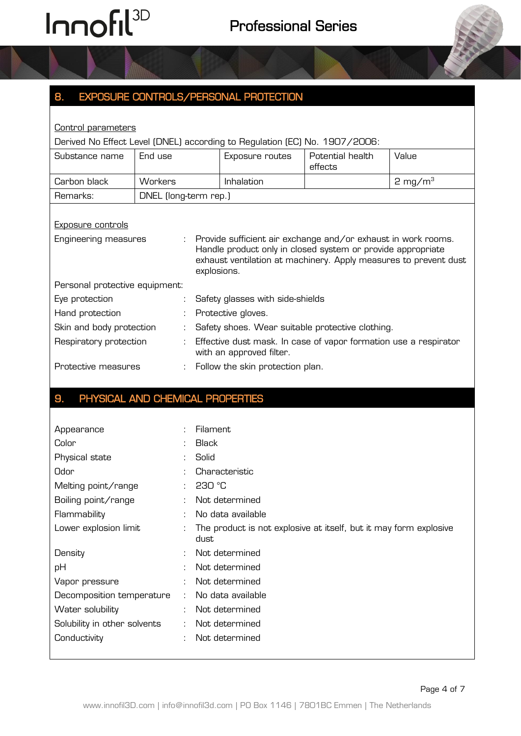

| <b>Control parameters</b>                                                  |                       |             |                                                                                                                                                                                                  |                             |                    |  |
|----------------------------------------------------------------------------|-----------------------|-------------|--------------------------------------------------------------------------------------------------------------------------------------------------------------------------------------------------|-----------------------------|--------------------|--|
| Derived No Effect Level (DNEL) according to Regulation (EC) No. 1907/2006: |                       |             |                                                                                                                                                                                                  |                             |                    |  |
| Substance name                                                             | End use               |             | Exposure routes                                                                                                                                                                                  | Potential health<br>effects | Value              |  |
| Carbon black                                                               | <b>Workers</b>        |             | Inhalation                                                                                                                                                                                       |                             | $2 \text{ mg/m}^3$ |  |
| Remarks:                                                                   | DNEL (long-term rep.) |             |                                                                                                                                                                                                  |                             |                    |  |
| <b>Exposure controls</b>                                                   |                       |             |                                                                                                                                                                                                  |                             |                    |  |
|                                                                            |                       |             |                                                                                                                                                                                                  |                             |                    |  |
| Engineering measures                                                       | ÷.                    | explosions. | Provide sufficient air exchange and/or exhaust in work rooms.<br>Handle product only in closed system or provide appropriate<br>exhaust ventilation at machinery. Apply measures to prevent dust |                             |                    |  |
| Personal protective equipment:                                             |                       |             |                                                                                                                                                                                                  |                             |                    |  |
| Eye protection                                                             |                       |             | Safety glasses with side-shields                                                                                                                                                                 |                             |                    |  |
| Hand protection                                                            |                       |             | Protective gloves.                                                                                                                                                                               |                             |                    |  |
| Skin and body protection                                                   |                       |             | Safety shoes. Wear suitable protective clothing.                                                                                                                                                 |                             |                    |  |
| Respiratory protection                                                     | ÷                     |             | Effective dust mask. In case of vapor formation use a respirator<br>with an approved filter.                                                                                                     |                             |                    |  |
| Protective measures                                                        |                       |             | Follow the skin protection plan.                                                                                                                                                                 |                             |                    |  |

#### 9. PHYSICAL AND CHEMICAL PROPERTIES

| Appearance                   |    | Filament                                                                  |
|------------------------------|----|---------------------------------------------------------------------------|
| Color                        |    | <b>Black</b>                                                              |
| Physical state               |    | Solid                                                                     |
| Odor                         |    | Characteristic                                                            |
| Melting point/range          |    | 230 °C                                                                    |
| Boiling point/range          |    | Not determined                                                            |
| Flammability                 |    | No data available                                                         |
| Lower explosion limit        |    | The product is not explosive at itself, but it may form explosive<br>dust |
| Density                      |    | Not determined                                                            |
| pH                           |    | Not determined                                                            |
| Vapor pressure               |    | Not determined                                                            |
| Decomposition temperature    | ÷  | No data available                                                         |
| Water solubility             | ÷. | Not determined                                                            |
| Solubility in other solvents | ÷  | Not determined                                                            |
| Conductivity                 | ÷  | Not determined                                                            |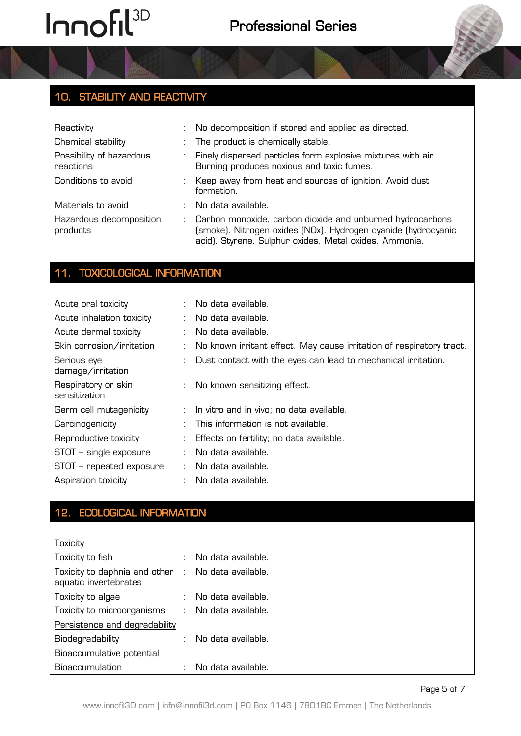## 10. STABILITY AND REACTIVITY

| Reactivity                            |    | No decomposition if stored and applied as directed.                                                                                                                                  |
|---------------------------------------|----|--------------------------------------------------------------------------------------------------------------------------------------------------------------------------------------|
| Chemical stability                    |    | The product is chemically stable.                                                                                                                                                    |
| Possibility of hazardous<br>reactions | ÷. | Finely dispersed particles form explosive mixtures with air.<br>Burning produces noxious and toxic fumes.                                                                            |
| Conditions to avoid                   | ÷. | Keep away from heat and sources of ignition. Avoid dust<br>formation.                                                                                                                |
| Materials to avoid                    |    | No data available.                                                                                                                                                                   |
| Hazardous decomposition<br>products   | ÷. | Carbon monoxide, carbon dioxide and unburned hydrocarbons<br>(smoke). Nitrogen oxides (NOx). Hydrogen cyanide (hydrocyanic<br>acid). Styrene. Sulphur oxides. Metal oxides. Ammonia. |

#### 11. TOXICOLOGICAL INFORMATION

| Acute oral toxicity                  | ÷. | No data available.                                                   |
|--------------------------------------|----|----------------------------------------------------------------------|
| Acute inhalation toxicity            |    | $\therefore$ No data available.                                      |
| Acute dermal toxicity                | ÷. | No data available.                                                   |
| Skin corrosion/irritation            |    | No known irritant effect. May cause irritation of respiratory tract. |
| Serious eye<br>damage/irritation     |    | : Dust contact with the eyes can lead to mechanical irritation.      |
| Respiratory or skin<br>sensitization |    | : No known sensitizing effect.                                       |
| Germ cell mutagenicity               |    | In vitro and in vivo; no data available.                             |
| Carcinogenicity                      |    | This information is not available.                                   |
| Reproductive toxicity                |    | Effects on fertility; no data available.                             |
| STOT - single exposure               |    | No data available.                                                   |
| STOT - repeated exposure             | ÷  | No data available.                                                   |
| Aspiration toxicity                  |    | No data available.                                                   |

### 12. ECOLOGICAL INFORMATION

**Toxicity** 

| Toxicity to fish                                                            | No data available.   |
|-----------------------------------------------------------------------------|----------------------|
| Toxicity to daphnia and other : No data available.<br>aquatic invertebrates |                      |
| Toxicity to algae                                                           | No data available.   |
| Toxicity to microorganisms                                                  | : No data available. |
| Persistence and degradability                                               |                      |
| Biodegradability                                                            | No data available.   |
| <b>Bioaccumulative potential</b>                                            |                      |
| <b>Bioaccumulation</b>                                                      | No data available.   |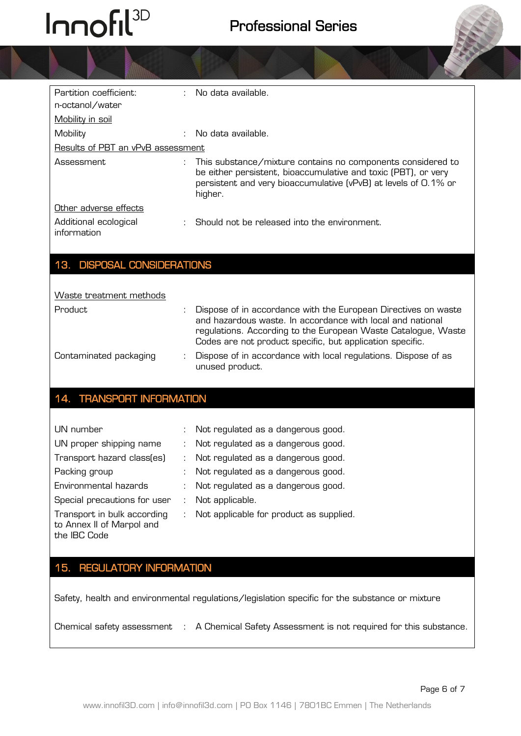| Partition coefficient:               | No data available.                                                                                                                                                                                                                                         |
|--------------------------------------|------------------------------------------------------------------------------------------------------------------------------------------------------------------------------------------------------------------------------------------------------------|
| n-octanol/water                      |                                                                                                                                                                                                                                                            |
| <b>Mobility in soil</b>              |                                                                                                                                                                                                                                                            |
| Mobility                             | No data available.                                                                                                                                                                                                                                         |
| Results of PBT an vPvB assessment    |                                                                                                                                                                                                                                                            |
| Assessment                           | This substance/mixture contains no components considered to<br>be either persistent, bioaccumulative and toxic (PBT), or very<br>persistent and very bioaccumulative (vPvB) at levels of 0.1% or<br>higher.                                                |
| Other adverse effects                |                                                                                                                                                                                                                                                            |
| Additional ecological<br>information | Should not be released into the environment.                                                                                                                                                                                                               |
| 13. DISPOSAL CONSIDERATIONS          |                                                                                                                                                                                                                                                            |
|                                      |                                                                                                                                                                                                                                                            |
| Waste treatment methods              |                                                                                                                                                                                                                                                            |
| Product.                             | Dispose of in accordance with the European Directives on waste<br>and hazardous waste. In accordance with local and national<br>regulations. According to the European Waste Catalogue, Waste<br>Codes are not product specific, but application specific. |
| Contaminated packaging               | Dispose of in accordance with local regulations. Dispose of as<br>unused product.                                                                                                                                                                          |

#### 14. TRANSPORT INFORMATION

| UN number                                                                | $\mathcal{L}$     | Not regulated as a dangerous good.        |
|--------------------------------------------------------------------------|-------------------|-------------------------------------------|
| UN proper shipping name                                                  | $\mathcal{L}$     | Not regulated as a dangerous good.        |
| Transport hazard class(es)                                               | $\sim$ 100 $\sim$ | Not regulated as a dangerous good.        |
| Packing group                                                            |                   | Not regulated as a dangerous good.        |
| Environmental hazards                                                    |                   | : Not regulated as a dangerous good.      |
| Special precautions for user                                             | ÷                 | Not applicable.                           |
| Transport in bulk according<br>to Annex II of Marpol and<br>the IBC Code |                   | : Not applicable for product as supplied. |

#### 15. REGULATORY INFORMATION

Safety, health and environmental regulations/legislation specific for the substance or mixture

Chemical safety assessment : A Chemical Safety Assessment is not required for this substance.